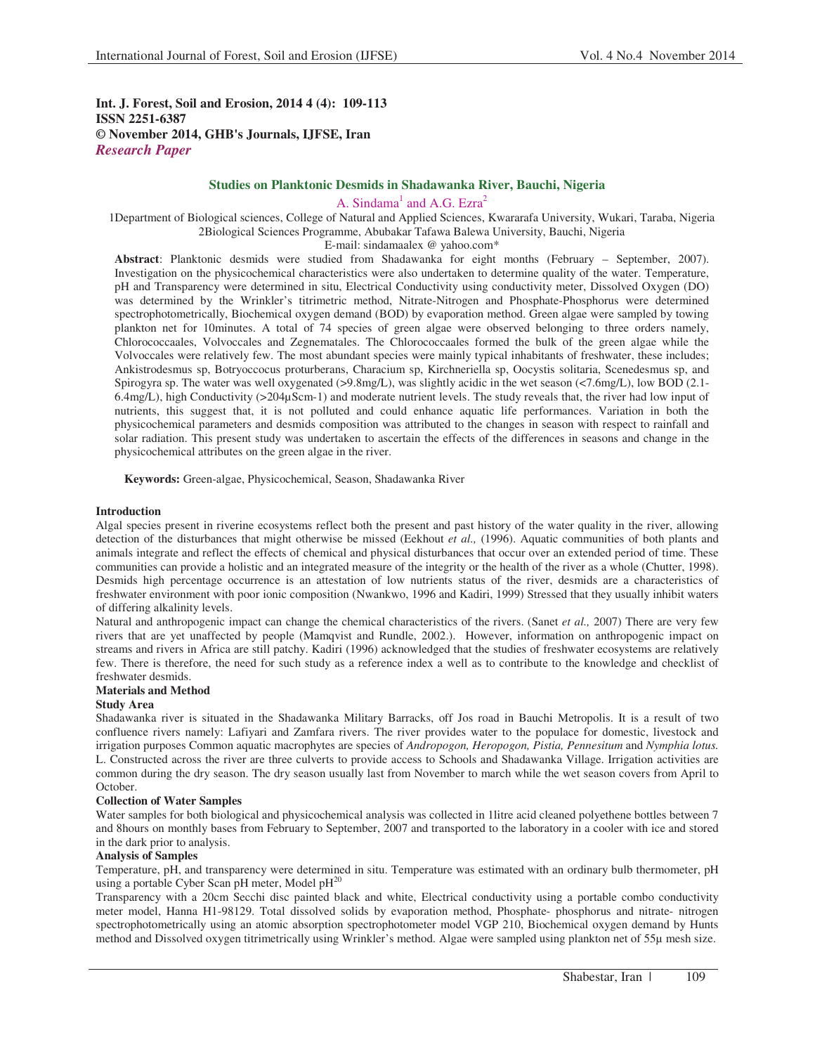**Int. J. Forest, Soil and Erosion, 2014 4 (4): 109-113 ISSN 2251-6387 © November 2014, GHB's Journals, IJFSE, Iran** *Research Paper*

# **Studies on Planktonic Desmids in Shadawanka River, Bauchi, Nigeria**

A. Sindama<sup>1</sup> and A.G. Ezra<sup>2</sup>

1Department of Biological sciences, College of Natural and Applied Sciences, Kwararafa University, Wukari, Taraba, Nigeria 2Biological Sciences Programme, Abubakar Tafawa Balewa University, Bauchi, Nigeria

E-mail: sindamaalex @ yahoo.com\*

**Abstract**: Planktonic desmids were studied from Shadawanka for eight months (February – September, 2007). Investigation on the physicochemical characteristics were also undertaken to determine quality of the water. Temperature, pH and Transparency were determined in situ, Electrical Conductivity using conductivity meter, Dissolved Oxygen (DO) was determined by the Wrinkler's titrimetric method, Nitrate-Nitrogen and Phosphate-Phosphorus were determined spectrophotometrically, Biochemical oxygen demand (BOD) by evaporation method. Green algae were sampled by towing plankton net for 10minutes. A total of 74 species of green algae were observed belonging to three orders namely, Chlorococcaales, Volvoccales and Zegnematales. The Chlorococcaales formed the bulk of the green algae while the Volvoccales were relatively few. The most abundant species were mainly typical inhabitants of freshwater, these includes; Ankistrodesmus sp, Botryoccocus proturberans, Characium sp, Kirchneriella sp, Oocystis solitaria, Scenedesmus sp, and Spirogyra sp. The water was well oxygenated (>9.8mg/L), was slightly acidic in the wet season (<7.6mg/L), low BOD (2.1- 6.4mg/L), high Conductivity (>204µScm-1) and moderate nutrient levels. The study reveals that, the river had low input of nutrients, this suggest that, it is not polluted and could enhance aquatic life performances. Variation in both the physicochemical parameters and desmids composition was attributed to the changes in season with respect to rainfall and solar radiation. This present study was undertaken to ascertain the effects of the differences in seasons and change in the physicochemical attributes on the green algae in the river.

**Keywords:** Green-algae, Physicochemical, Season, Shadawanka River

#### **Introduction**

Algal species present in riverine ecosystems reflect both the present and past history of the water quality in the river, allowing detection of the disturbances that might otherwise be missed (Eekhout *et al.,* (1996). Aquatic communities of both plants and animals integrate and reflect the effects of chemical and physical disturbances that occur over an extended period of time. These communities can provide a holistic and an integrated measure of the integrity or the health of the river as a whole (Chutter, 1998). Desmids high percentage occurrence is an attestation of low nutrients status of the river, desmids are a characteristics of freshwater environment with poor ionic composition (Nwankwo, 1996 and Kadiri, 1999) Stressed that they usually inhibit waters of differing alkalinity levels.

Natural and anthropogenic impact can change the chemical characteristics of the rivers. (Sanet *et al.,* 2007) There are very few rivers that are yet unaffected by people (Mamqvist and Rundle, 2002.). However, information on anthropogenic impact on streams and rivers in Africa are still patchy. Kadiri (1996) acknowledged that the studies of freshwater ecosystems are relatively few. There is therefore, the need for such study as a reference index a well as to contribute to the knowledge and checklist of freshwater desmids.

#### **Materials and Method**

#### **Study Area**

Shadawanka river is situated in the Shadawanka Military Barracks, off Jos road in Bauchi Metropolis. It is a result of two confluence rivers namely: Lafiyari and Zamfara rivers. The river provides water to the populace for domestic, livestock and irrigation purposes Common aquatic macrophytes are species of *Andropogon, Heropogon, Pistia, Pennesitum* and *Nymphia lotus.* L. Constructed across the river are three culverts to provide access to Schools and Shadawanka Village. Irrigation activities are common during the dry season. The dry season usually last from November to march while the wet season covers from April to October.

#### **Collection of Water Samples**

Water samples for both biological and physicochemical analysis was collected in 1litre acid cleaned polyethene bottles between 7 and 8hours on monthly bases from February to September, 2007 and transported to the laboratory in a cooler with ice and stored in the dark prior to analysis.

## **Analysis of Samples**

Temperature, pH, and transparency were determined in situ. Temperature was estimated with an ordinary bulb thermometer, pH using a portable Cyber Scan pH meter, Model pH<sup>20</sup>

Transparency with a 20cm Secchi disc painted black and white, Electrical conductivity using a portable combo conductivity meter model, Hanna H1-98129. Total dissolved solids by evaporation method, Phosphate- phosphorus and nitrate- nitrogen spectrophotometrically using an atomic absorption spectrophotometer model VGP 210, Biochemical oxygen demand by Hunts method and Dissolved oxygen titrimetrically using Wrinkler's method. Algae were sampled using plankton net of 55µ mesh size.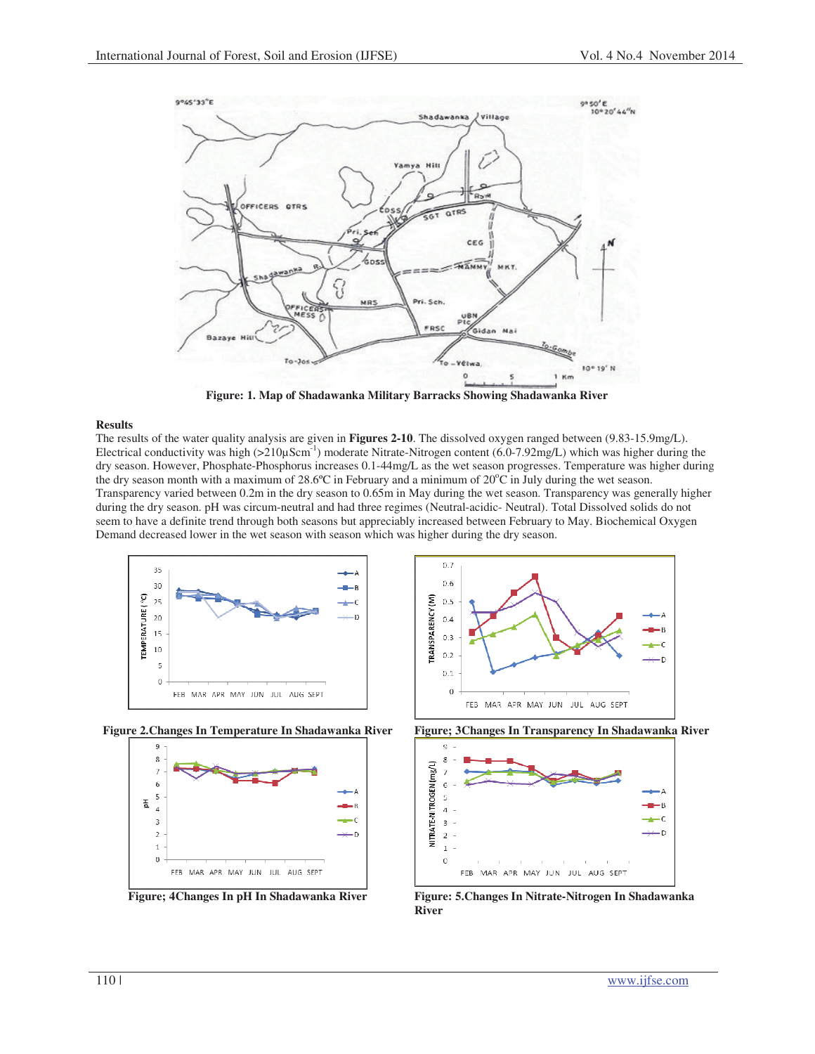

**Figure: 1. Map of Shadawanka Military Barracks Showing Shadawanka River** 

### **Results**

The results of the water quality analysis are given in **Figures 2-10**. The dissolved oxygen ranged between (9.83-15.9mg/L). Electrical conductivity was high  $(>210\mu\text{Scm}^{-1})$  moderate Nitrate-Nitrogen content  $(6.0-7.92\text{mg/L})$  which was higher during the dry season. However, Phosphate-Phosphorus increases 0.1-44mg/L as the wet season progresses. Temperature was higher during the dry season month with a maximum of 28.6°C in February and a minimum of 20°C in July during the wet season. Transparency varied between 0.2m in the dry season to 0.65m in May during the wet season. Transparency was generally higher during the dry season. pH was circum-neutral and had three regimes (Neutral-acidic- Neutral). Total Dissolved solids do not seem to have a definite trend through both seasons but appreciably increased between February to May. Biochemical Oxygen Demand decreased lower in the wet season with season which was higher during the dry season.











**Figure; 4Changes In pH In Shadawanka River Figure: 5.Changes In Nitrate-Nitrogen In Shadawanka River**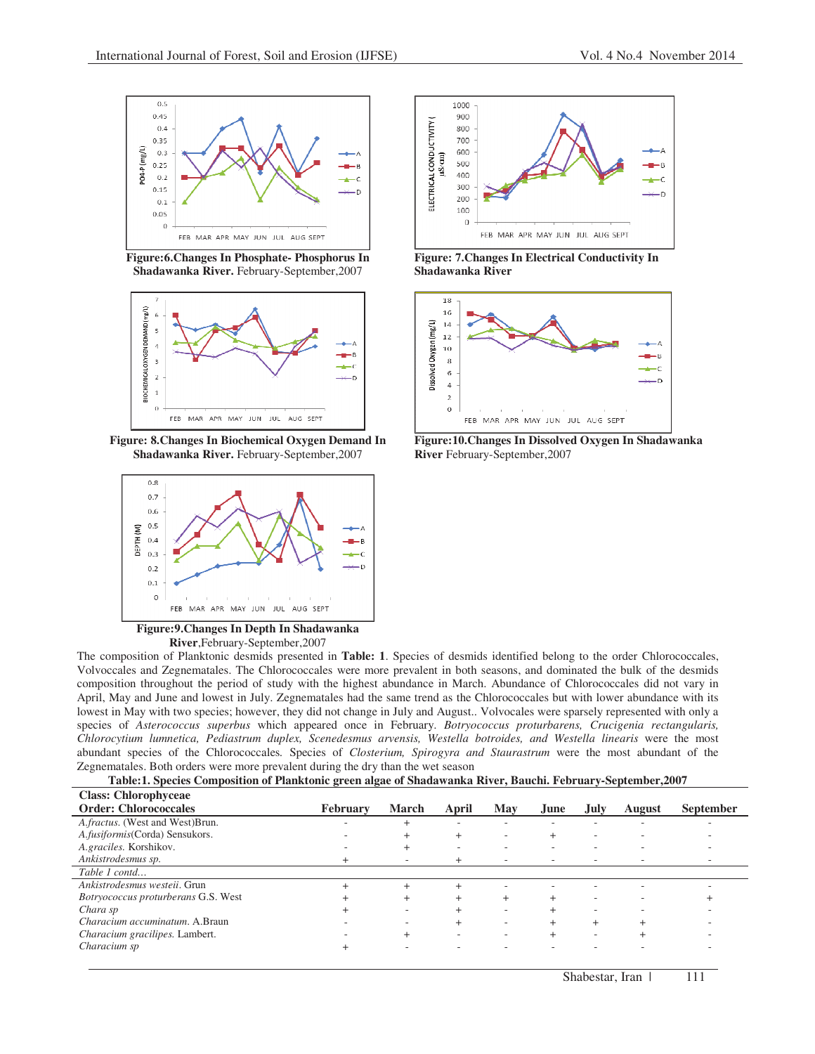

**Figure:6.Changes In Phosphate- Phosphorus In Shadawanka River.** February-September,2007



**Figure: 8.Changes In Biochemical Oxygen Demand In Shadawanka River.** February-September,2007



**Figure:9.Changes In Depth In Shadawanka River**,February-September,2007



| Table:1. Species Composition of Planktonic green algae of Shadawanka River, Bauchi. February-September, 2007 |  |
|--------------------------------------------------------------------------------------------------------------|--|
|--------------------------------------------------------------------------------------------------------------|--|

| <b>Class: Chlorophyceae</b>            |                 |                |                          |        |                          |             |               |                  |
|----------------------------------------|-----------------|----------------|--------------------------|--------|--------------------------|-------------|---------------|------------------|
| <b>Order: Chlorococcales</b>           | <b>February</b> | <b>March</b>   | April                    | May    | June.                    | <b>July</b> | <b>August</b> | <b>September</b> |
| A.fractus. (West and West)Brun.        |                 |                | -                        | ۰      | -                        | ۰           | ۰             |                  |
| A.fusiformis(Corda) Sensukors.         |                 | $^{+}$         | $^{+}$                   | ۰      |                          | ۰           | ۰             |                  |
| A.graciles. Korshikov.                 |                 | $^+$           |                          |        |                          |             |               |                  |
| Ankistrodesmus sp.                     | $^+$            |                | $^+$                     | ۰      | $\overline{\phantom{a}}$ |             |               |                  |
| Table 1 contd                          |                 |                |                          |        |                          |             |               |                  |
| Ankistrodesmus westeii. Grun           | $\ddot{}$       | $^{+}$         | $^{+}$                   | ۰      | ۰                        | -           | ۰             |                  |
| Botryococcus proturberans G.S. West    |                 | $\overline{+}$ |                          | $^{+}$ |                          |             |               |                  |
| Chara sp                               |                 |                |                          | ۰      |                          |             |               |                  |
| <i>Characium accuminatum</i> , A.Braun |                 | -              | $^{+}$                   | ۰      |                          | $^{+}$      |               |                  |
| Characium gracilipes. Lambert.         |                 |                | $\overline{\phantom{a}}$ |        |                          | ۰           |               |                  |
| Characium sp                           |                 |                |                          |        |                          |             |               |                  |



**Figure: 7.Changes In Electrical Conductivity In Shadawanka River**



**Figure:10.Changes In Dissolved Oxygen In Shadawanka River** February-September,2007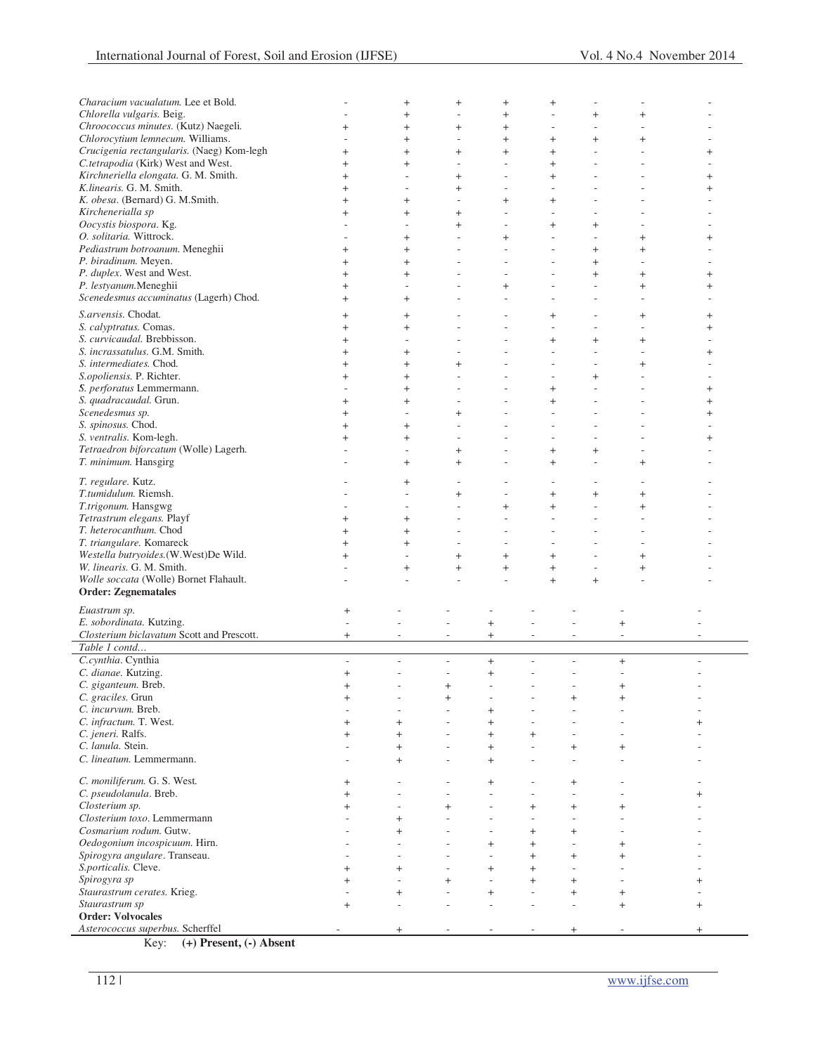| Characium vacualatum. Lee et Bold.                           |                                    | $^{+}$                   | $\begin{array}{c} + \end{array}$ | $^{+}$                           | $\begin{array}{c} + \end{array}$ |                                  |                          |                          |
|--------------------------------------------------------------|------------------------------------|--------------------------|----------------------------------|----------------------------------|----------------------------------|----------------------------------|--------------------------|--------------------------|
| Chlorella vulgaris. Beig.                                    |                                    | $^{+}$                   | L,                               | $^{+}$                           | $\overline{\phantom{a}}$         | $\begin{array}{c} + \end{array}$ | $^{+}$                   |                          |
| Chroococcus minutes. (Kutz) Naegeli.                         | $^+$                               | $^{+}$                   | $^{+}$                           | $^{+}$                           | $\overline{a}$                   | L,                               | J.                       |                          |
| Chlorocytium lemnecum. Williams.                             |                                    | $^{+}$                   | L,                               | $^{+}$                           | $^{+}$                           | $\begin{array}{c} + \end{array}$ | $^{+}$                   |                          |
| Crucigenia rectangularis. (Naeg) Kom-legh                    | $^{+}$                             | $^{+}$                   | $^{+}$                           | $^{+}$                           | $\ddot{}$                        | ä,                               | $\overline{\phantom{a}}$ | $\ddag$                  |
| C.tetrapodia (Kirk) West and West.                           | $^{+}$                             | $^{+}$                   | $\overline{a}$                   | $\overline{\phantom{a}}$         | $+$                              | ä,                               | $\overline{\phantom{a}}$ |                          |
| Kirchneriella elongata. G. M. Smith.                         |                                    | $\overline{a}$           |                                  | ÷                                |                                  | L.                               | ÷                        |                          |
|                                                              | $^{+}$                             |                          | $+$                              |                                  | $+$                              |                                  |                          | $^+$                     |
| K.linearis. G. M. Smith.                                     | $^{+}$                             | $\overline{\phantom{a}}$ | $+$                              | L,                               | $\overline{\phantom{a}}$         |                                  | J.                       | $^+$                     |
| K. obesa. (Bernard) G. M.Smith.                              | $\overline{+}$                     | $^{+}$                   |                                  | $^{+}$                           | $^{+}$                           |                                  |                          |                          |
| Kirchenerialla sp                                            | $^+$                               | $^{+}$                   | $^{+}$                           | ÷,                               | L,                               |                                  | J.                       |                          |
| Oocystis biospora. Kg.                                       |                                    | L,                       | $^{+}$                           |                                  | $^{+}$                           | $\begin{array}{c} + \end{array}$ | J.                       |                          |
| O. solitaria. Wittrock.                                      |                                    | $^{+}$                   | ÷                                | $^{+}$                           | L,                               | L,                               | $^{+}$                   | $\ddag$                  |
| Pediastrum botroanum. Meneghii                               | $^{+}$                             | $^{+}$                   | $\overline{\phantom{a}}$         |                                  | $\overline{\phantom{a}}$         | $^{+}$                           | $^{+}$                   |                          |
| P. biradinum. Meyen.                                         | $^+$                               | $^{+}$                   | ÷                                | ÷                                | $\sim$                           | $\ddot{}$                        | $\overline{\phantom{a}}$ |                          |
| P. duplex. West and West.                                    | $^{+}$                             | $^{+}$                   | ÷,                               | $\overline{\phantom{a}}$         | $\overline{\phantom{a}}$         | $\ddot{}$                        | $+$                      | $^+$                     |
| P. lestyanum.Meneghii                                        | $^+$                               | L,                       |                                  | $^{+}$                           |                                  | $\overline{a}$                   | $\ddot{}$                | $\overline{+}$           |
| Scenedesmus accuminatus (Lagerh) Chod.                       |                                    |                          | $\overline{a}$                   |                                  |                                  | ÷,                               |                          |                          |
|                                                              | $^{+}$                             | $^{+}$                   |                                  |                                  | $\overline{\phantom{a}}$         |                                  | $\overline{\phantom{a}}$ |                          |
| S.arvensis. Chodat.                                          | $^{+}$                             | $^{+}$                   |                                  |                                  | $^{+}$                           | ÷                                | $^{+}$                   | $^{+}$                   |
| S. calyptratus. Comas.                                       | $^{+}$                             | $^{+}$                   |                                  |                                  | $\sim$                           |                                  | J.                       | $^+$                     |
| S. curvicaudal. Brebbisson.                                  | $^{+}$                             | L,                       | ÷.                               |                                  | $+$                              | $\ddot{}$                        | $^{+}$                   |                          |
| S. incrassatulus. G.M. Smith.                                | $^{+}$                             | $^{+}$                   |                                  |                                  |                                  |                                  | L,                       | $\ddag$                  |
| S. intermediates. Chod.                                      | $^{+}$                             | $^{+}$                   | $+$                              |                                  |                                  |                                  | $+$                      |                          |
| S.opoliensis. P. Richter.                                    |                                    |                          |                                  |                                  |                                  |                                  | J.                       |                          |
|                                                              | $^{+}$                             | $^{+}$                   |                                  |                                  |                                  | $\overline{+}$                   |                          |                          |
| S. perforatus Lemmermann.                                    |                                    | $^{+}$                   | $\overline{\phantom{a}}$         |                                  | $\ddot{}$                        | ÷.                               | ÷,                       | $^{+}$                   |
| S. quadracaudal. Grun.                                       | $^{+}$                             | $^{+}$                   |                                  |                                  | $\ddot{}$                        | ä,                               | ÷,                       | $\ddot{}$                |
| Scenedesmus sp.                                              | $\overline{+}$                     | L,                       | $\ddot{}$                        |                                  | $\overline{\phantom{a}}$         |                                  | ÷,                       | $^+$                     |
| S. spinosus. Chod.                                           | $^{+}$                             | $^{+}$                   | $\overline{\phantom{a}}$         |                                  | $\overline{\phantom{a}}$         | ÷,                               | ÷,                       |                          |
| S. ventralis. Kom-legh.                                      | $^{+}$                             | $^{+}$                   |                                  |                                  | $\overline{a}$                   |                                  |                          | $^{+}$                   |
| Tetraedron biforcatum (Wolle) Lagerh.                        |                                    | L,                       | $+$                              |                                  | $+$                              | $\begin{array}{c} + \end{array}$ | $\overline{\phantom{a}}$ |                          |
| T. minimum. Hansgirg                                         |                                    | $^{+}$                   | $^{+}$                           |                                  | $\ddot{}$                        | L,                               | $^{+}$                   |                          |
|                                                              |                                    |                          |                                  |                                  |                                  |                                  |                          |                          |
| T. regulare. Kutz.                                           |                                    | $^{+}$                   |                                  |                                  | $\overline{\phantom{0}}$         | $\overline{a}$                   | $\overline{a}$           |                          |
| T.tumidulum. Riemsh.                                         |                                    | L,                       | $^{+}$                           |                                  | $^{+}$                           | $\begin{array}{c} + \end{array}$ | $^{+}$                   |                          |
| T.trigonum. Hansgwg                                          |                                    | L,                       | $\overline{a}$                   | $^{+}$                           | $+$                              | $\overline{a}$                   | $^{+}$                   |                          |
|                                                              |                                    |                          |                                  |                                  |                                  |                                  |                          |                          |
|                                                              |                                    |                          |                                  |                                  |                                  |                                  | J.                       |                          |
| Tetrastrum elegans. Playf                                    | $^{+}$                             | $^{+}$                   |                                  |                                  | $\overline{\phantom{a}}$         |                                  |                          |                          |
| T. heterocanthum. Chod                                       | $^{+}$                             | $^{+}$                   | $\overline{a}$                   | ٠                                | $\overline{\phantom{a}}$         | ÷.                               | $\overline{\phantom{a}}$ |                          |
| T. triangulare. Komareck                                     | $^+$                               | $^{+}$                   |                                  |                                  | $\sim$                           |                                  | ÷                        |                          |
| Westella butryoides.(W.West)De Wild.                         | $^{+}$                             | L,                       | $^{+}$                           | $^{+}$                           | $\ddot{}$                        | ٠                                | $\ddot{}$                |                          |
| W. linearis. G. M. Smith.                                    |                                    | $^{+}$                   | $+$                              | $^{+}$                           | $\ddot{}$                        | L,                               | $\ddot{}$                |                          |
| Wolle soccata (Wolle) Bornet Flahault.                       |                                    | Ĭ.                       |                                  |                                  | $+$                              | $\ddot{}$                        | L,                       |                          |
| <b>Order: Zegnematales</b>                                   |                                    |                          |                                  |                                  |                                  |                                  |                          |                          |
|                                                              |                                    |                          |                                  |                                  |                                  |                                  |                          |                          |
| Euastrum sp.                                                 | $^{+}$                             |                          |                                  |                                  |                                  |                                  |                          |                          |
| E. sobordinata. Kutzing.                                     | $\overline{\phantom{a}}$           |                          | L,                               | $^{+}$                           |                                  |                                  | $\ddot{}$                |                          |
| Closterium biclavatum Scott and Prescott.                    | $\begin{array}{c} + \end{array}$   | $\overline{\phantom{a}}$ | $\overline{\phantom{a}}$         | $\begin{array}{c} + \end{array}$ | $\overline{\phantom{a}}$         | $\overline{\phantom{a}}$         | $\overline{\phantom{a}}$ | $\overline{\phantom{a}}$ |
| Table 1 contd                                                |                                    |                          |                                  |                                  |                                  |                                  |                          |                          |
| C.cynthia. Cynthia                                           | $\overline{\phantom{a}}$           | $\overline{a}$           | $\overline{\phantom{a}}$         | $\! + \!\!\!\!$                  | $\overline{a}$                   | $\overline{\phantom{a}}$         | $+$                      | $\overline{a}$           |
| C. dianae. Kutzing.                                          | $^{+}$                             |                          | $\overline{\phantom{a}}$         | $\! + \!\!\!\!$                  | $\overline{\phantom{0}}$         | $\overline{\phantom{m}}$         | ÷,                       |                          |
| C. giganteum. Breb.                                          | $^{+}$                             |                          | $\ddot{}$                        | L                                |                                  | $\overline{a}$                   | $^{+}$                   |                          |
| C. graciles. Grun                                            |                                    |                          |                                  |                                  |                                  |                                  | $^{+}$                   |                          |
| C. incurvum. Breb.                                           | $^{+}$<br>$\overline{\phantom{a}}$ |                          | $^{+}$<br>L,                     | $^{+}$                           |                                  | $^{+}$                           |                          |                          |
|                                                              |                                    |                          | ٠                                |                                  | ٠                                |                                  |                          |                          |
| C. infractum. T. West.                                       | $^{+}$                             | $^{+}$                   |                                  | $^{+}$                           |                                  |                                  |                          | $^{+}$                   |
| C. jeneri. Ralfs.                                            | $\ddot{}$                          | $\ddot{}$                | $\overline{\phantom{a}}$         | $^{+}$                           | $^{+}$                           |                                  |                          |                          |
| C. lanula. Stein.                                            |                                    | $\ddot{}$                | $\overline{\phantom{a}}$         | $+$                              | ä,                               | $^{+}$                           | $^{+}$                   |                          |
| C. lineatum. Lemmermann.                                     |                                    | $^{+}$                   | L,                               | $^{+}$                           | ٠                                | $\overline{\phantom{a}}$         |                          |                          |
|                                                              |                                    |                          |                                  |                                  |                                  |                                  |                          |                          |
| C. moniliferum. G. S. West.                                  | $^{+}$                             |                          | ÷,                               | $^{+}$                           |                                  | $^{+}$                           |                          |                          |
| C. pseudolanula. Breb.                                       | $\ddot{}$                          |                          | $\overline{\phantom{a}}$         |                                  | ٠                                | $\overline{\phantom{a}}$         |                          | $^{+}$                   |
| Closterium sp.                                               | $\ddot{}$                          |                          | $\ddot{}$                        |                                  | $\ddot{}$                        | $^{+}$                           | $^{+}$                   |                          |
| Closterium toxo. Lemmermann                                  |                                    | $^{+}$                   | L,                               |                                  | $\overline{a}$                   | $\overline{a}$                   |                          |                          |
| Cosmarium rodum. Gutw.                                       |                                    | $^{+}$                   |                                  |                                  | $^{+}$                           | $^{+}$                           |                          |                          |
| Oedogonium incospicuum. Hirn.                                |                                    |                          |                                  | $^{+}$                           | $+$                              |                                  | $^{+}$                   |                          |
|                                                              |                                    |                          |                                  |                                  | $+$                              |                                  | $^{+}$                   |                          |
| Spirogyra angulare. Transeau.                                |                                    |                          | ÷,                               |                                  |                                  | $^{+}$                           |                          |                          |
| S.porticalis. Cleve.                                         | $^{+}$                             | $^{+}$                   |                                  | $^{+}$<br>÷                      | $+$                              |                                  |                          |                          |
| Spirogyra sp                                                 | $\overline{+}$                     |                          | $\ddot{}$                        |                                  | $+$                              | $^{+}$                           |                          | $^{+}$                   |
| Staurastrum cerates. Krieg.                                  |                                    | $^{+}$                   | ÷,                               | $^{+}$                           | $\overline{a}$                   | $^{+}$                           | $^{+}$                   |                          |
| Staurastrum sp                                               | $+$                                |                          | ÷,                               |                                  | $\overline{a}$                   | $\overline{a}$                   | $+$                      | $^{+}$                   |
| <b>Order: Volvocales</b><br>Asterococcus superbus. Scherffel |                                    | $^+$                     |                                  |                                  |                                  | $^+$                             |                          | $^{+}$                   |

Key: **(+) Present, (-) Absent**